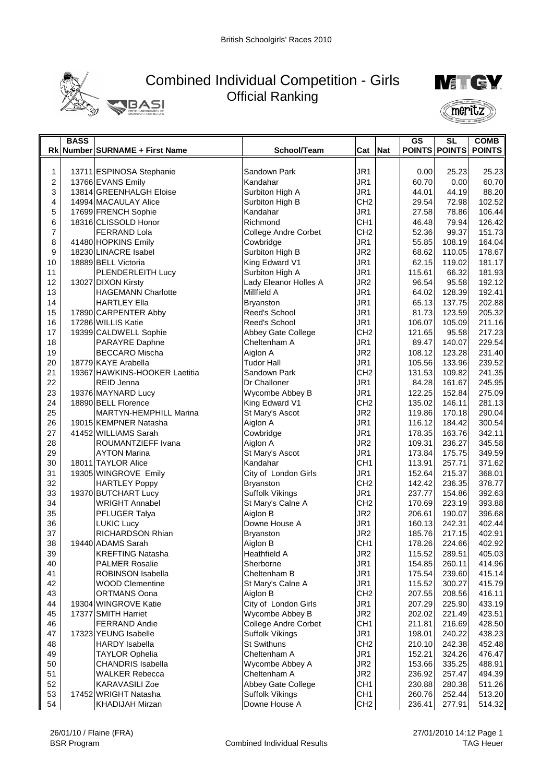

## Combined Individual Competition - Girls Official Ranking



|                | <b>BASS</b> |                                                    |                                   |                                    |            | GS               | <b>SL</b>        | <b>COMB</b>      |
|----------------|-------------|----------------------------------------------------|-----------------------------------|------------------------------------|------------|------------------|------------------|------------------|
|                |             | Rk Number SURNAME + First Name                     | School/Team                       | Cat                                | <b>Nat</b> |                  | POINTS POINTS    | <b>POINTS</b>    |
|                |             |                                                    |                                   |                                    |            |                  |                  |                  |
| 1              |             | 13711 ESPINOSA Stephanie                           | Sandown Park                      | JR1                                |            | 0.00             | 25.23            | 25.23            |
| $\overline{c}$ |             | 13766 EVANS Emily                                  | Kandahar                          | JR <sub>1</sub>                    |            | 60.70            | 0.00             | 60.70            |
| 3              |             | 13814 GREENHALGH Eloise                            | Surbiton High A                   | JR1                                |            | 44.01            | 44.19            | 88.20            |
| 4              |             | 14994 MACAULAY Alice                               | Surbiton High B                   | CH <sub>2</sub>                    |            | 29.54            | 72.98            | 102.52           |
| 5              |             | 17699 FRENCH Sophie                                | Kandahar                          | JR <sub>1</sub>                    |            | 27.58            | 78.86            | 106.44           |
| 6              |             | 18316 CLISSOLD Honor                               | Richmond                          | CH <sub>1</sub>                    |            | 46.48            | 79.94            | 126.42           |
| 7              |             | <b>FERRAND Lola</b>                                | College Andre Corbet              | CH <sub>2</sub>                    |            | 52.36            | 99.37            | 151.73           |
| 8              |             | 41480 HOPKINS Emily                                | Cowbridge                         | JR1                                |            | 55.85            | 108.19           | 164.04           |
| 9              |             | 18230 LINACRE Isabel                               | Surbiton High B                   | JR <sub>2</sub>                    |            | 68.62            | 110.05           | 178.67           |
| 10             |             | 18889 BELL Victoria                                | King Edward V1                    | JR <sub>1</sub>                    |            | 62.15            | 119.02           | 181.17           |
| 11             |             | PLENDERLEITH Lucy                                  | Surbiton High A                   | JR1                                |            | 115.61           | 66.32            | 181.93           |
| 12             |             | 13027 DIXON Kirsty                                 | Lady Eleanor Holles A             | JR <sub>2</sub>                    |            | 96.54            | 95.58            | 192.12           |
| 13             |             | <b>HAGEMANN Charlotte</b>                          | Millfield A                       | JR1                                |            | 64.02            | 128.39           | 192.41           |
| 14             |             | <b>HARTLEY Ella</b>                                | <b>Bryanston</b>                  | JR <sub>1</sub>                    |            | 65.13            | 137.75           | 202.88           |
| 15             |             | 17890 CARPENTER Abby                               | Reed's School<br>Reed's School    | JR <sub>1</sub>                    |            | 81.73            | 123.59           | 205.32           |
| 16             |             | 17286 WILLIS Katie                                 |                                   | JR1                                |            | 106.07           | 105.09           | 211.16           |
| 17             |             | 19399 CALDWELL Sophie                              | Abbey Gate College                | CH <sub>2</sub>                    |            | 121.65           | 95.58            | 217.23           |
| 18             |             | PARAYRE Daphne                                     | Cheltenham A                      | JR1                                |            | 89.47            | 140.07           | 229.54           |
| 19             |             | <b>BECCARO Mischa</b>                              | Aiglon A                          | JR <sub>2</sub>                    |            | 108.12<br>105.56 | 123.28           | 231.40           |
| 20<br>21       |             | 18779 KAYE Arabella                                | Tudor Hall<br>Sandown Park        | JR <sub>1</sub>                    |            |                  | 133.96           | 239.52           |
| 22             |             | 19367 HAWKINS-HOOKER Laetitia<br><b>REID Jenna</b> | Dr Challoner                      | CH <sub>2</sub><br>JR <sub>1</sub> |            | 131.53<br>84.28  | 109.82<br>161.67 | 241.35<br>245.95 |
| 23             |             |                                                    |                                   | JR1                                |            | 122.25           | 152.84           | 275.09           |
| 24             |             | 19376 MAYNARD Lucy<br>18890 BELL Florence          | Wycombe Abbey B<br>King Edward V1 | CH <sub>2</sub>                    |            | 135.02           | 146.11           | 281.13           |
| 25             |             | <b>MARTYN-HEMPHILL Marina</b>                      | St Mary's Ascot                   | JR <sub>2</sub>                    |            | 119.86           | 170.18           | 290.04           |
| 26             |             | 19015 KEMPNER Natasha                              | Aiglon A                          | JR1                                |            | 116.12           | 184.42           | 300.54           |
| 27             |             | 41452 WILLIAMS Sarah                               | Cowbridge                         | JR1                                |            | 178.35           | 163.76           | 342.11           |
| 28             |             | ROUMANTZIEFF Ivana                                 | Aiglon A                          | JR <sub>2</sub>                    |            | 109.31           | 236.27           | 345.58           |
| 29             |             | <b>AYTON Marina</b>                                | St Mary's Ascot                   | JR1                                |            | 173.84           | 175.75           | 349.59           |
| 30             |             | 18011 TAYLOR Alice                                 | Kandahar                          | CH <sub>1</sub>                    |            | 113.91           | 257.71           | 371.62           |
| 31             |             | 19305 WINGROVE Emily                               | City of London Girls              | JR1                                |            | 152.64           | 215.37           | 368.01           |
| 32             |             | <b>HARTLEY Poppy</b>                               | <b>Bryanston</b>                  | CH <sub>2</sub>                    |            | 142.42           | 236.35           | 378.77           |
| 33             |             | 19370 BUTCHART Lucy                                | <b>Suffolk Vikings</b>            | JR1                                |            | 237.77           | 154.86           | 392.63           |
| 34             |             | <b>WRIGHT Annabel</b>                              | St Mary's Calne A                 | CH <sub>2</sub>                    |            | 170.69           | 223.19           | 393.88           |
| 35             |             | PFLUGER Talya                                      | Aiglon B                          | JR <sub>2</sub>                    |            | 206.61           | 190.07           | 396.68           |
| 36             |             | <b>LUKIC Lucy</b>                                  | Downe House A                     | JR1                                |            | 160.13           | 242.31           | 402.44           |
| 37             |             | RICHARDSON Rhian                                   | Bryanston                         | JR <sub>2</sub>                    |            | 185.76           | 217.15           | 402.91           |
| 38             |             | 19440 ADAMS Sarah                                  | Aiglon B                          | CH <sub>1</sub>                    |            | 178.26           | 224.66           | 402.92           |
| 39             |             | <b>KREFTING Natasha</b>                            | <b>Heathfield A</b>               | JR <sub>2</sub>                    |            | 115.52           | 289.51           | 405.03           |
| 40             |             | <b>PALMER Rosalie</b>                              | Sherborne                         | JR1                                |            | 154.85           | 260.11           | 414.96           |
| 41             |             | ROBINSON Isabella                                  | Cheltenham B                      | JR1                                |            | 175.54           | 239.60           | 415.14           |
| 42             |             | <b>WOOD Clementine</b>                             | St Mary's Calne A                 | JR1                                |            | 115.52           | 300.27           | 415.79           |
| 43             |             | <b>ORTMANS Oona</b>                                | Aiglon B                          | CH <sub>2</sub>                    |            | 207.55           | 208.56           | 416.11           |
| 44             |             | 19304 WINGROVE Katie                               | City of London Girls              | JR1                                |            | 207.29           | 225.90           | 433.19           |
| 45             |             | 17377 SMITH Harriet                                | Wycombe Abbey B                   | JR2                                |            | 202.02           | 221.49           | 423.51           |
| 46             |             | <b>FERRAND Andie</b>                               | College Andre Corbet              | CH <sub>1</sub>                    |            | 211.81           | 216.69           | 428.50           |
| 47             |             | 17323 YEUNG Isabelle                               | <b>Suffolk Vikings</b>            | JR <sub>1</sub>                    |            | 198.01           | 240.22           | 438.23           |
| 48             |             | <b>HARDY</b> Isabella                              | <b>St Swithuns</b>                | CH <sub>2</sub>                    |            | 210.10           | 242.38           | 452.48           |
| 49             |             | <b>TAYLOR Ophelia</b>                              | Cheltenham A                      | JR1                                |            | 152.21           | 324.26           | 476.47           |
| 50             |             | CHANDRIS Isabella                                  | Wycombe Abbey A                   | JR <sub>2</sub>                    |            | 153.66           | 335.25           | 488.91           |
| 51             |             | <b>WALKER Rebecca</b>                              | Cheltenham A                      | JR <sub>2</sub>                    |            | 236.92           | 257.47           | 494.39           |
| 52             |             | <b>KARAVASILI Zoe</b>                              | Abbey Gate College                | CH <sub>1</sub>                    |            | 230.88           | 280.38           | 511.26           |
| 53             |             | 17452 WRIGHT Natasha                               | <b>Suffolk Vikings</b>            | CH <sub>1</sub>                    |            | 260.76           | 252.44           | 513.20           |
| 54             |             | <b>KHADIJAH Mirzan</b>                             | Downe House A                     | CH <sub>2</sub>                    |            | 236.41           | 277.91           | 514.32           |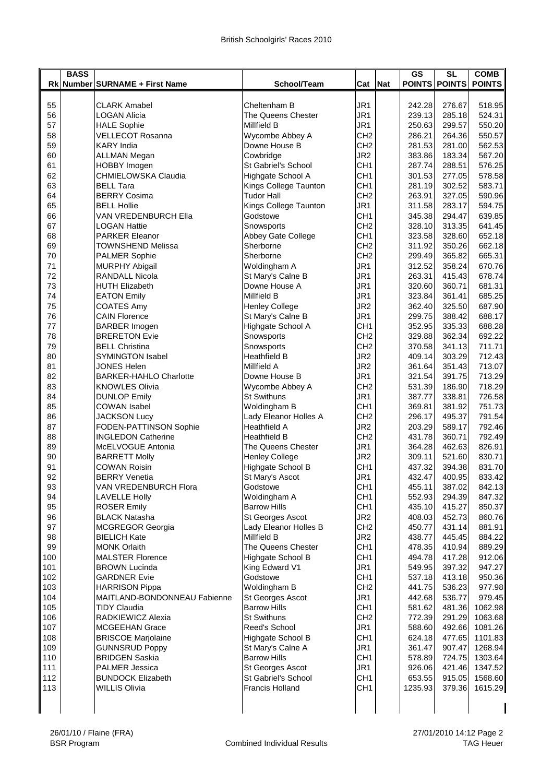|            | <b>BASS</b> |                                                |                                            |                                    |     | <b>GS</b>        | $\overline{\text{SL}}$ | <b>COMB</b>        |
|------------|-------------|------------------------------------------------|--------------------------------------------|------------------------------------|-----|------------------|------------------------|--------------------|
|            |             | Rk Number SURNAME + First Name                 | School/Team                                | Cat                                | Nat |                  | <b>POINTS POINTS</b>   | <b>POINTS</b>      |
| 55         |             | <b>CLARK Amabel</b>                            | Cheltenham B                               | JR1                                |     | 242.28           | 276.67                 | 518.95             |
| 56         |             | <b>LOGAN Alicia</b>                            | The Queens Chester                         | JR1                                |     | 239.13           | 285.18                 | 524.31             |
| 57         |             | <b>HALE Sophie</b>                             | Millfield B                                | JR1                                |     | 250.63           | 299.57                 | 550.20             |
| 58         |             | <b>VELLECOT Rosanna</b>                        | Wycombe Abbey A                            | CH <sub>2</sub>                    |     | 286.21           | 264.36                 | 550.57             |
| 59         |             | <b>KARY</b> India                              | Downe House B                              | CH <sub>2</sub>                    |     | 281.53           | 281.00                 | 562.53             |
| 60         |             | <b>ALLMAN Megan</b>                            | Cowbridge                                  | JR <sub>2</sub>                    |     | 383.86           | 183.34                 | 567.20             |
| 61         |             | HOBBY Imogen                                   | St Gabriel's School                        | CH <sub>1</sub>                    |     | 287.74           | 288.51                 | 576.25             |
| 62<br>63   |             | CHMIELOWSKA Claudia<br><b>BELL Tara</b>        | Highgate School A<br>Kings College Taunton | CH <sub>1</sub><br>CH <sub>1</sub> |     | 301.53<br>281.19 | 277.05<br>302.52       | 578.58<br>583.71   |
| 64         |             | <b>BERRY Cosima</b>                            | <b>Tudor Hall</b>                          | CH <sub>2</sub>                    |     | 263.91           | 327.05                 | 590.96             |
| 65         |             | <b>BELL Hollie</b>                             | Kings College Taunton                      | JR1                                |     | 311.58           | 283.17                 | 594.75             |
| 66         |             | VAN VREDENBURCH Ella                           | Godstowe                                   | CH <sub>1</sub>                    |     | 345.38           | 294.47                 | 639.85             |
| 67         |             | <b>LOGAN Hattie</b>                            | Snowsports                                 | CH <sub>2</sub>                    |     | 328.10           | 313.35                 | 641.45             |
| 68         |             | <b>PARKER Eleanor</b>                          | Abbey Gate College                         | CH <sub>1</sub>                    |     | 323.58           | 328.60                 | 652.18             |
| 69         |             | <b>TOWNSHEND Melissa</b>                       | Sherborne                                  | CH <sub>2</sub>                    |     | 311.92           | 350.26                 | 662.18             |
| 70         |             | <b>PALMER Sophie</b>                           | Sherborne                                  | CH <sub>2</sub>                    |     | 299.49           | 365.82                 | 665.31             |
| 71         |             | <b>MURPHY Abigail</b>                          | Woldingham A                               | JR1                                |     | 312.52           | 358.24                 | 670.76<br>678.74   |
| 72<br>73   |             | <b>RANDALL Nicola</b><br><b>HUTH Elizabeth</b> | St Mary's Calne B<br>Downe House A         | JR1<br>JR1                         |     | 263.31<br>320.60 | 415.43<br>360.71       | 681.31             |
| 74         |             | <b>EATON Emily</b>                             | Millfield B                                | JR1                                |     | 323.84           | 361.41                 | 685.25             |
| 75         |             | <b>COATES Amy</b>                              | <b>Henley College</b>                      | JR <sub>2</sub>                    |     | 362.40           | 325.50                 | 687.90             |
| 76         |             | <b>CAIN Florence</b>                           | St Mary's Calne B                          | JR1                                |     | 299.75           | 388.42                 | 688.17             |
| 77         |             | <b>BARBER Imogen</b>                           | Highgate School A                          | CH <sub>1</sub>                    |     | 352.95           | 335.33                 | 688.28             |
| 78         |             | <b>BRERETON Evie</b>                           | Snowsports                                 | CH <sub>2</sub>                    |     | 329.88           | 362.34                 | 692.22             |
| 79         |             | <b>BELL Christina</b>                          | Snowsports                                 | CH <sub>2</sub>                    |     | 370.58           | 341.13                 | 711.71             |
| 80         |             | <b>SYMINGTON Isabel</b>                        | <b>Heathfield B</b>                        | JR <sub>2</sub>                    |     | 409.14           | 303.29                 | 712.43             |
| 81         |             | JONES Helen                                    | Millfield A                                | JR <sub>2</sub>                    |     | 361.64           | 351.43                 | 713.07             |
| 82         |             | <b>BARKER-HAHLO Charlotte</b>                  | Downe House B                              | JR1                                |     | 321.54           | 391.75                 | 713.29             |
| 83<br>84   |             | <b>KNOWLES Olivia</b><br><b>DUNLOP Emily</b>   | Wycombe Abbey A<br><b>St Swithuns</b>      | CH <sub>2</sub><br>JR1             |     | 531.39<br>387.77 | 186.90<br>338.81       | 718.29<br>726.58   |
| 85         |             | <b>COWAN Isabel</b>                            | Woldingham B                               | CH <sub>1</sub>                    |     | 369.81           | 381.92                 | 751.73             |
| 86         |             | <b>JACKSON Lucy</b>                            | Lady Eleanor Holles A                      | CH <sub>2</sub>                    |     | 296.17           | 495.37                 | 791.54             |
| 87         |             | FODEN-PATTINSON Sophie                         | <b>Heathfield A</b>                        | JR <sub>2</sub>                    |     | 203.29           | 589.17                 | 792.46             |
| 88         |             | <b>INGLEDON Catherine</b>                      | <b>Heathfield B</b>                        | CH <sub>2</sub>                    |     | 431.78           | 360.71                 | 792.49             |
| 89         |             | McELVOGUE Antonia                              | The Queens Chester                         | JR1                                |     | 364.28           | 462.63                 | 826.91             |
| 90         |             | <b>BARRETT Molly</b>                           | <b>Henley College</b>                      | JR <sub>2</sub>                    |     | 309.11           | 521.60                 | 830.71             |
| 91         |             | <b>COWAN Roisin</b>                            | Highgate School B                          | CH <sub>1</sub>                    |     | 437.32           | 394.38                 | 831.70             |
| 92         |             | <b>BERRY Venetia</b>                           | St Mary's Ascot                            | JR1                                |     | 432.47           | 400.95                 | 833.42             |
| 93         |             | VAN VREDENBURCH Flora                          | Godstowe                                   | CH <sub>1</sub>                    |     | 455.11           | 387.02                 | 842.13             |
| 94<br>95   |             | <b>LAVELLE Holly</b><br><b>ROSER Emily</b>     | Woldingham A<br><b>Barrow Hills</b>        | CH <sub>1</sub><br>CH <sub>1</sub> |     | 552.93<br>435.10 | 294.39<br>415.27       | 847.32<br>850.37   |
| 96         |             | <b>BLACK Natasha</b>                           | St Georges Ascot                           | JR <sub>2</sub>                    |     | 408.03           | 452.73                 | 860.76             |
| 97         |             | MCGREGOR Georgia                               | Lady Eleanor Holles B                      | CH <sub>2</sub>                    |     | 450.77           | 431.14                 | 881.91             |
| 98         |             | <b>BIELICH Kate</b>                            | <b>Millfield B</b>                         | JR2                                |     | 438.77           | 445.45                 | 884.22             |
| 99         |             | <b>MONK Orlaith</b>                            | The Queens Chester                         | CH <sub>1</sub>                    |     | 478.35           | 410.94                 | 889.29             |
| 100        |             | <b>MALSTER Florence</b>                        | Highgate School B                          | CH <sub>1</sub>                    |     | 494.78           | 417.28                 | 912.06             |
| 101        |             | <b>BROWN Lucinda</b>                           | King Edward V1                             | JR1                                |     | 549.95           | 397.32                 | 947.27             |
| 102        |             | <b>GARDNER Evie</b>                            | Godstowe                                   | CH <sub>1</sub>                    |     | 537.18           | 413.18                 | 950.36             |
| 103        |             | <b>HARRISON Pippa</b>                          | Woldingham B                               | CH <sub>2</sub>                    |     | 441.75           | 536.23                 | 977.98             |
| 104        |             | MAITLAND-BONDONNEAU Fabienne                   | St Georges Ascot                           | JR1                                |     | 442.68           | 536.77                 | 979.45             |
| 105<br>106 |             | <b>TIDY Claudia</b><br>RADKIEWICZ Alexia       | <b>Barrow Hills</b><br><b>St Swithuns</b>  | CH1<br>CH <sub>2</sub>             |     | 581.62<br>772.39 | 481.36<br>291.29       | 1062.98<br>1063.68 |
| 107        |             | <b>MCGEEHAN Grace</b>                          | Reed's School                              | JR1                                |     | 588.60           | 492.66                 | 1081.26            |
| 108        |             | <b>BRISCOE Marjolaine</b>                      | Highgate School B                          | CH <sub>1</sub>                    |     | 624.18           | 477.65                 | 1101.83            |
| 109        |             | <b>GUNNSRUD Poppy</b>                          | St Mary's Calne A                          | JR1                                |     | 361.47           | 907.47                 | 1268.94            |
| 110        |             | <b>BRIDGEN Saskia</b>                          | <b>Barrow Hills</b>                        | CH1                                |     | 578.89           | 724.75                 | 1303.64            |
| 111        |             | PALMER Jessica                                 | St Georges Ascot                           | JR1                                |     | 926.06           | 421.46                 | 1347.52            |
| 112        |             | <b>BUNDOCK Elizabeth</b>                       | St Gabriel's School                        | CH <sub>1</sub>                    |     | 653.55           | 915.05                 | 1568.60            |
| 113        |             | <b>WILLIS Olivia</b>                           | <b>Francis Holland</b>                     | CH <sub>1</sub>                    |     | 1235.93          | 379.36                 | 1615.29            |
|            |             |                                                |                                            |                                    |     |                  |                        |                    |
|            |             |                                                |                                            |                                    |     |                  |                        |                    |